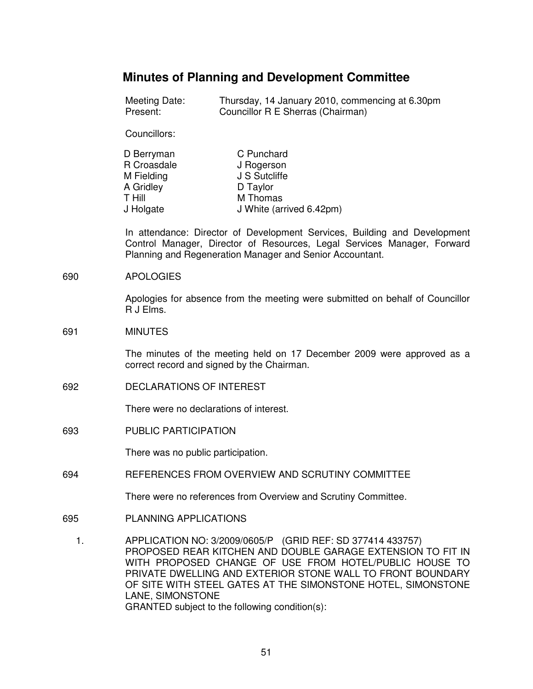# **Minutes of Planning and Development Committee**

| Meeting Date: | Thursday, 14 January 2010, commencing at 6.30pm |
|---------------|-------------------------------------------------|
| Present:      | Councillor R E Sherras (Chairman)               |

Councillors:

| D Berryman  | C Punchard               |
|-------------|--------------------------|
| R Croasdale | J Rogerson               |
| M Fielding  | J S Sutcliffe            |
| A Gridley   | D Taylor                 |
| T Hill      | M Thomas                 |
| J Holgate   | J White (arrived 6.42pm) |

In attendance: Director of Development Services, Building and Development Control Manager, Director of Resources, Legal Services Manager, Forward Planning and Regeneration Manager and Senior Accountant.

#### 690 APOLOGIES

Apologies for absence from the meeting were submitted on behalf of Councillor R J Elms.

#### 691 MINUTES

The minutes of the meeting held on 17 December 2009 were approved as a correct record and signed by the Chairman.

692 DECLARATIONS OF INTEREST

There were no declarations of interest.

693 PUBLIC PARTICIPATION

There was no public participation.

694 REFERENCES FROM OVERVIEW AND SCRUTINY COMMITTEE

There were no references from Overview and Scrutiny Committee.

- 695 PLANNING APPLICATIONS
	- 1. APPLICATION NO: 3/2009/0605/P (GRID REF: SD 377414 433757) PROPOSED REAR KITCHEN AND DOUBLE GARAGE EXTENSION TO FIT IN WITH PROPOSED CHANGE OF USE FROM HOTEL/PUBLIC HOUSE TO PRIVATE DWELLING AND EXTERIOR STONE WALL TO FRONT BOUNDARY OF SITE WITH STEEL GATES AT THE SIMONSTONE HOTEL, SIMONSTONE LANE, SIMONSTONE GRANTED subject to the following condition(s):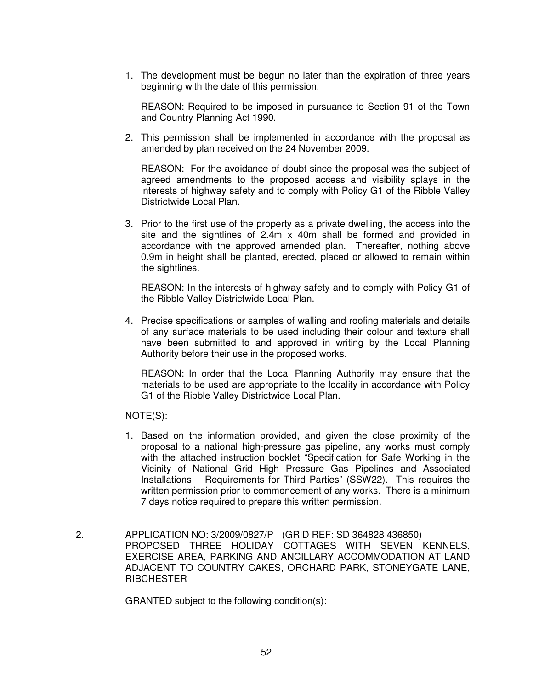1. The development must be begun no later than the expiration of three years beginning with the date of this permission.

 REASON: Required to be imposed in pursuance to Section 91 of the Town and Country Planning Act 1990.

2. This permission shall be implemented in accordance with the proposal as amended by plan received on the 24 November 2009.

 REASON: For the avoidance of doubt since the proposal was the subject of agreed amendments to the proposed access and visibility splays in the interests of highway safety and to comply with Policy G1 of the Ribble Valley Districtwide Local Plan.

3. Prior to the first use of the property as a private dwelling, the access into the site and the sightlines of 2.4m x 40m shall be formed and provided in accordance with the approved amended plan. Thereafter, nothing above 0.9m in height shall be planted, erected, placed or allowed to remain within the sightlines.

 REASON: In the interests of highway safety and to comply with Policy G1 of the Ribble Valley Districtwide Local Plan.

4. Precise specifications or samples of walling and roofing materials and details of any surface materials to be used including their colour and texture shall have been submitted to and approved in writing by the Local Planning Authority before their use in the proposed works.

 REASON: In order that the Local Planning Authority may ensure that the materials to be used are appropriate to the locality in accordance with Policy G1 of the Ribble Valley Districtwide Local Plan.

NOTE(S):

- 1. Based on the information provided, and given the close proximity of the proposal to a national high-pressure gas pipeline, any works must comply with the attached instruction booklet "Specification for Safe Working in the Vicinity of National Grid High Pressure Gas Pipelines and Associated Installations – Requirements for Third Parties" (SSW22). This requires the written permission prior to commencement of any works. There is a minimum 7 days notice required to prepare this written permission.
- 2. APPLICATION NO: 3/2009/0827/P (GRID REF: SD 364828 436850) PROPOSED THREE HOLIDAY COTTAGES WITH SEVEN KENNELS, EXERCISE AREA, PARKING AND ANCILLARY ACCOMMODATION AT LAND ADJACENT TO COUNTRY CAKES, ORCHARD PARK, STONEYGATE LANE, **RIBCHESTER**

GRANTED subject to the following condition(s):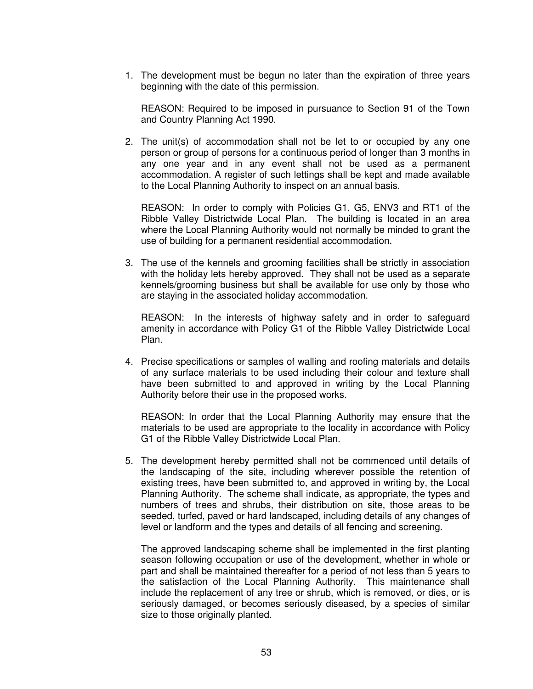1. The development must be begun no later than the expiration of three years beginning with the date of this permission.

 REASON: Required to be imposed in pursuance to Section 91 of the Town and Country Planning Act 1990.

2. The unit(s) of accommodation shall not be let to or occupied by any one person or group of persons for a continuous period of longer than 3 months in any one year and in any event shall not be used as a permanent accommodation. A register of such lettings shall be kept and made available to the Local Planning Authority to inspect on an annual basis.

 REASON: In order to comply with Policies G1, G5, ENV3 and RT1 of the Ribble Valley Districtwide Local Plan. The building is located in an area where the Local Planning Authority would not normally be minded to grant the use of building for a permanent residential accommodation.

3. The use of the kennels and grooming facilities shall be strictly in association with the holiday lets hereby approved. They shall not be used as a separate kennels/grooming business but shall be available for use only by those who are staying in the associated holiday accommodation.

 REASON: In the interests of highway safety and in order to safeguard amenity in accordance with Policy G1 of the Ribble Valley Districtwide Local Plan.

4. Precise specifications or samples of walling and roofing materials and details of any surface materials to be used including their colour and texture shall have been submitted to and approved in writing by the Local Planning Authority before their use in the proposed works.

 REASON: In order that the Local Planning Authority may ensure that the materials to be used are appropriate to the locality in accordance with Policy G1 of the Ribble Valley Districtwide Local Plan.

5. The development hereby permitted shall not be commenced until details of the landscaping of the site, including wherever possible the retention of existing trees, have been submitted to, and approved in writing by, the Local Planning Authority. The scheme shall indicate, as appropriate, the types and numbers of trees and shrubs, their distribution on site, those areas to be seeded, turfed, paved or hard landscaped, including details of any changes of level or landform and the types and details of all fencing and screening.

 The approved landscaping scheme shall be implemented in the first planting season following occupation or use of the development, whether in whole or part and shall be maintained thereafter for a period of not less than 5 years to the satisfaction of the Local Planning Authority. This maintenance shall include the replacement of any tree or shrub, which is removed, or dies, or is seriously damaged, or becomes seriously diseased, by a species of similar size to those originally planted.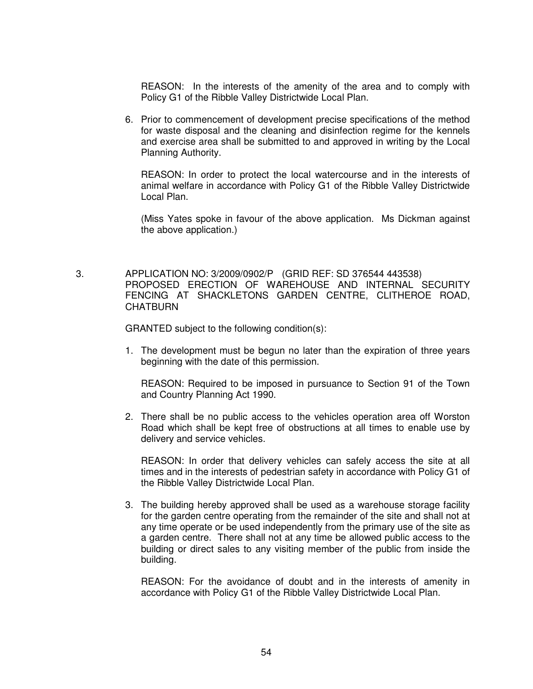REASON: In the interests of the amenity of the area and to comply with Policy G1 of the Ribble Valley Districtwide Local Plan.

6. Prior to commencement of development precise specifications of the method for waste disposal and the cleaning and disinfection regime for the kennels and exercise area shall be submitted to and approved in writing by the Local Planning Authority.

 REASON: In order to protect the local watercourse and in the interests of animal welfare in accordance with Policy G1 of the Ribble Valley Districtwide Local Plan.

 (Miss Yates spoke in favour of the above application. Ms Dickman against the above application.)

 3. APPLICATION NO: 3/2009/0902/P (GRID REF: SD 376544 443538) PROPOSED ERECTION OF WAREHOUSE AND INTERNAL SECURITY FENCING AT SHACKLETONS GARDEN CENTRE, CLITHEROE ROAD, **CHATBURN** 

GRANTED subject to the following condition(s):

1. The development must be begun no later than the expiration of three years beginning with the date of this permission.

 REASON: Required to be imposed in pursuance to Section 91 of the Town and Country Planning Act 1990.

2. There shall be no public access to the vehicles operation area off Worston Road which shall be kept free of obstructions at all times to enable use by delivery and service vehicles.

 REASON: In order that delivery vehicles can safely access the site at all times and in the interests of pedestrian safety in accordance with Policy G1 of the Ribble Valley Districtwide Local Plan.

3. The building hereby approved shall be used as a warehouse storage facility for the garden centre operating from the remainder of the site and shall not at any time operate or be used independently from the primary use of the site as a garden centre. There shall not at any time be allowed public access to the building or direct sales to any visiting member of the public from inside the building.

 REASON: For the avoidance of doubt and in the interests of amenity in accordance with Policy G1 of the Ribble Valley Districtwide Local Plan.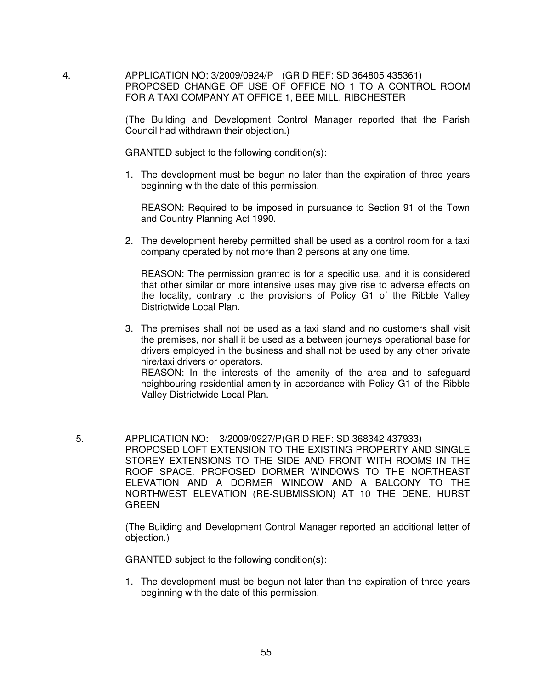4. APPLICATION NO: 3/2009/0924/P (GRID REF: SD 364805 435361) PROPOSED CHANGE OF USE OF OFFICE NO 1 TO A CONTROL ROOM FOR A TAXI COMPANY AT OFFICE 1, BEE MILL, RIBCHESTER

> (The Building and Development Control Manager reported that the Parish Council had withdrawn their objection.)

GRANTED subject to the following condition(s):

1. The development must be begun no later than the expiration of three years beginning with the date of this permission.

 REASON: Required to be imposed in pursuance to Section 91 of the Town and Country Planning Act 1990.

2. The development hereby permitted shall be used as a control room for a taxi company operated by not more than 2 persons at any one time.

 REASON: The permission granted is for a specific use, and it is considered that other similar or more intensive uses may give rise to adverse effects on the locality, contrary to the provisions of Policy G1 of the Ribble Valley Districtwide Local Plan.

- 3. The premises shall not be used as a taxi stand and no customers shall visit the premises, nor shall it be used as a between journeys operational base for drivers employed in the business and shall not be used by any other private hire/taxi drivers or operators. REASON: In the interests of the amenity of the area and to safeguard neighbouring residential amenity in accordance with Policy G1 of the Ribble Valley Districtwide Local Plan.
- 5. APPLICATION NO: 3/2009/0927/P (GRID REF: SD 368342 437933) PROPOSED LOFT EXTENSION TO THE EXISTING PROPERTY AND SINGLE STOREY EXTENSIONS TO THE SIDE AND FRONT WITH ROOMS IN THE ROOF SPACE. PROPOSED DORMER WINDOWS TO THE NORTHEAST ELEVATION AND A DORMER WINDOW AND A BALCONY TO THE NORTHWEST ELEVATION (RE-SUBMISSION) AT 10 THE DENE, HURST GREEN

(The Building and Development Control Manager reported an additional letter of objection.)

GRANTED subject to the following condition(s):

1. The development must be begun not later than the expiration of three years beginning with the date of this permission.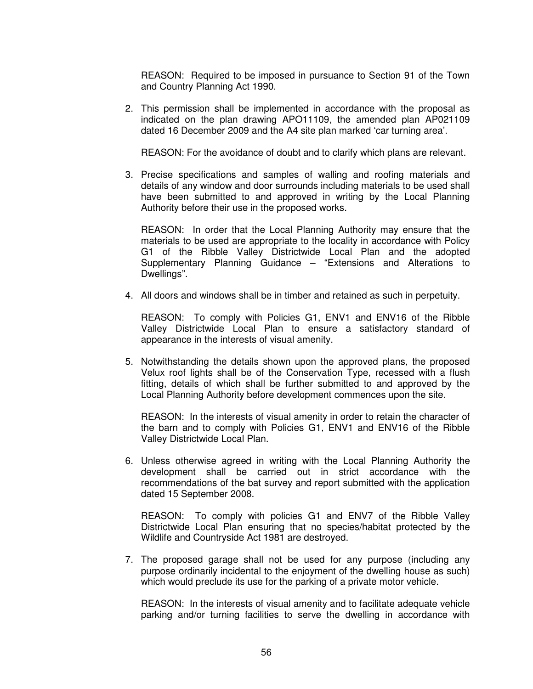REASON: Required to be imposed in pursuance to Section 91 of the Town and Country Planning Act 1990.

2. This permission shall be implemented in accordance with the proposal as indicated on the plan drawing APO11109, the amended plan AP021109 dated 16 December 2009 and the A4 site plan marked 'car turning area'.

REASON: For the avoidance of doubt and to clarify which plans are relevant.

3. Precise specifications and samples of walling and roofing materials and details of any window and door surrounds including materials to be used shall have been submitted to and approved in writing by the Local Planning Authority before their use in the proposed works.

 REASON: In order that the Local Planning Authority may ensure that the materials to be used are appropriate to the locality in accordance with Policy G1 of the Ribble Valley Districtwide Local Plan and the adopted Supplementary Planning Guidance – "Extensions and Alterations to Dwellings".

4. All doors and windows shall be in timber and retained as such in perpetuity.

 REASON: To comply with Policies G1, ENV1 and ENV16 of the Ribble Valley Districtwide Local Plan to ensure a satisfactory standard of appearance in the interests of visual amenity.

5. Notwithstanding the details shown upon the approved plans, the proposed Velux roof lights shall be of the Conservation Type, recessed with a flush fitting, details of which shall be further submitted to and approved by the Local Planning Authority before development commences upon the site.

 REASON: In the interests of visual amenity in order to retain the character of the barn and to comply with Policies G1, ENV1 and ENV16 of the Ribble Valley Districtwide Local Plan.

6. Unless otherwise agreed in writing with the Local Planning Authority the development shall be carried out in strict accordance with the recommendations of the bat survey and report submitted with the application dated 15 September 2008.

 REASON: To comply with policies G1 and ENV7 of the Ribble Valley Districtwide Local Plan ensuring that no species/habitat protected by the Wildlife and Countryside Act 1981 are destroyed.

7. The proposed garage shall not be used for any purpose (including any purpose ordinarily incidental to the enjoyment of the dwelling house as such) which would preclude its use for the parking of a private motor vehicle.

 REASON: In the interests of visual amenity and to facilitate adequate vehicle parking and/or turning facilities to serve the dwelling in accordance with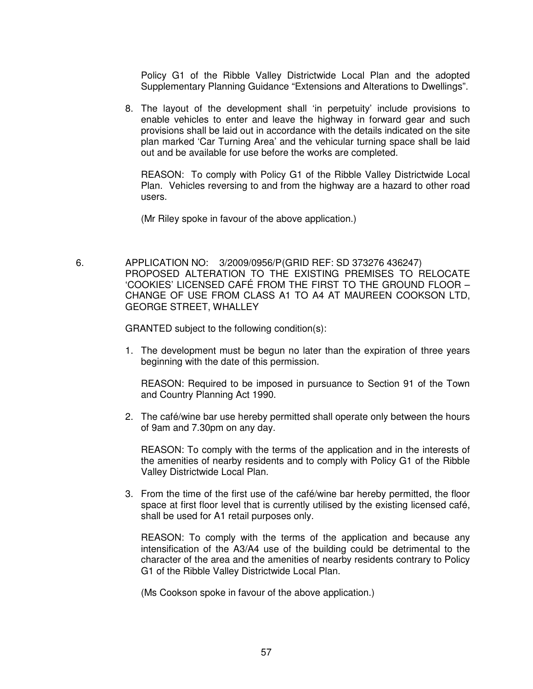Policy G1 of the Ribble Valley Districtwide Local Plan and the adopted Supplementary Planning Guidance "Extensions and Alterations to Dwellings".

8. The layout of the development shall 'in perpetuity' include provisions to enable vehicles to enter and leave the highway in forward gear and such provisions shall be laid out in accordance with the details indicated on the site plan marked 'Car Turning Area' and the vehicular turning space shall be laid out and be available for use before the works are completed.

 REASON: To comply with Policy G1 of the Ribble Valley Districtwide Local Plan. Vehicles reversing to and from the highway are a hazard to other road users.

(Mr Riley spoke in favour of the above application.)

 6. APPLICATION NO: 3/2009/0956/P (GRID REF: SD 373276 436247) PROPOSED ALTERATION TO THE EXISTING PREMISES TO RELOCATE 'COOKIES' LICENSED CAFÉ FROM THE FIRST TO THE GROUND FLOOR – CHANGE OF USE FROM CLASS A1 TO A4 AT MAUREEN COOKSON LTD, GEORGE STREET, WHALLEY

GRANTED subject to the following condition(s):

1. The development must be begun no later than the expiration of three years beginning with the date of this permission.

 REASON: Required to be imposed in pursuance to Section 91 of the Town and Country Planning Act 1990.

2. The café/wine bar use hereby permitted shall operate only between the hours of 9am and 7.30pm on any day.

 REASON: To comply with the terms of the application and in the interests of the amenities of nearby residents and to comply with Policy G1 of the Ribble Valley Districtwide Local Plan.

3. From the time of the first use of the café/wine bar hereby permitted, the floor space at first floor level that is currently utilised by the existing licensed café, shall be used for A1 retail purposes only.

 REASON: To comply with the terms of the application and because any intensification of the A3/A4 use of the building could be detrimental to the character of the area and the amenities of nearby residents contrary to Policy G1 of the Ribble Valley Districtwide Local Plan.

(Ms Cookson spoke in favour of the above application.)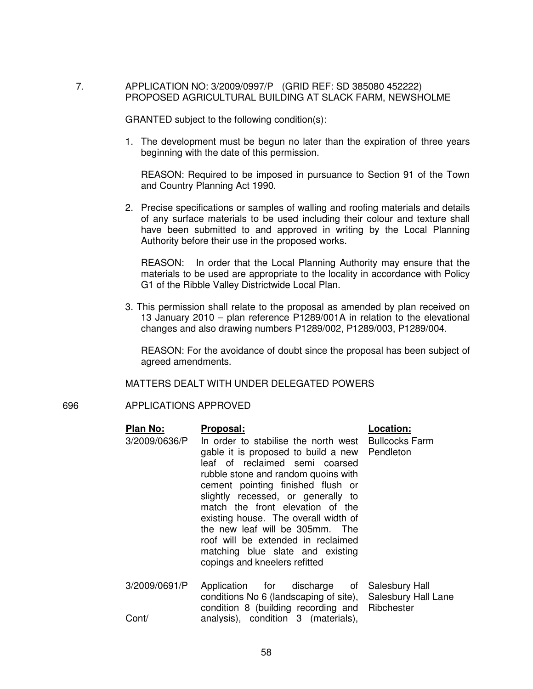## 7. APPLICATION NO: 3/2009/0997/P (GRID REF: SD 385080 452222) PROPOSED AGRICULTURAL BUILDING AT SLACK FARM, NEWSHOLME

GRANTED subject to the following condition(s):

1. The development must be begun no later than the expiration of three years beginning with the date of this permission.

 REASON: Required to be imposed in pursuance to Section 91 of the Town and Country Planning Act 1990.

2. Precise specifications or samples of walling and roofing materials and details of any surface materials to be used including their colour and texture shall have been submitted to and approved in writing by the Local Planning Authority before their use in the proposed works.

 REASON: In order that the Local Planning Authority may ensure that the materials to be used are appropriate to the locality in accordance with Policy G1 of the Ribble Valley Districtwide Local Plan.

3. This permission shall relate to the proposal as amended by plan received on 13 January 2010 – plan reference P1289/001A in relation to the elevational changes and also drawing numbers P1289/002, P1289/003, P1289/004.

 REASON: For the avoidance of doubt since the proposal has been subject of agreed amendments.

MATTERS DEALT WITH UNDER DELEGATED POWERS

## 696 APPLICATIONS APPROVED

| <b>Plan No:</b> | Proposal:                                                                                                                                                                                                                                                                                                                                                                                                                                                           | Location:                         |
|-----------------|---------------------------------------------------------------------------------------------------------------------------------------------------------------------------------------------------------------------------------------------------------------------------------------------------------------------------------------------------------------------------------------------------------------------------------------------------------------------|-----------------------------------|
| 3/2009/0636/P   | In order to stabilise the north west<br>gable it is proposed to build a new Pendleton<br>leaf of reclaimed semi coarsed<br>rubble stone and random quoins with<br>cement pointing finished flush or<br>slightly recessed, or generally to<br>match the front elevation of the<br>existing house. The overall width of<br>the new leaf will be 305mm. The<br>roof will be extended in reclaimed<br>matching blue slate and existing<br>copings and kneelers refitted | <b>Bullcocks Farm</b>             |
| 3/2009/0691/P   | Application for discharge of Salesbury Hall<br>conditions No 6 (landscaping of site),<br>condition 8 (building recording and                                                                                                                                                                                                                                                                                                                                        | Salesbury Hall Lane<br>Ribchester |
| Cont/           | analysis), condition 3 (materials),                                                                                                                                                                                                                                                                                                                                                                                                                                 |                                   |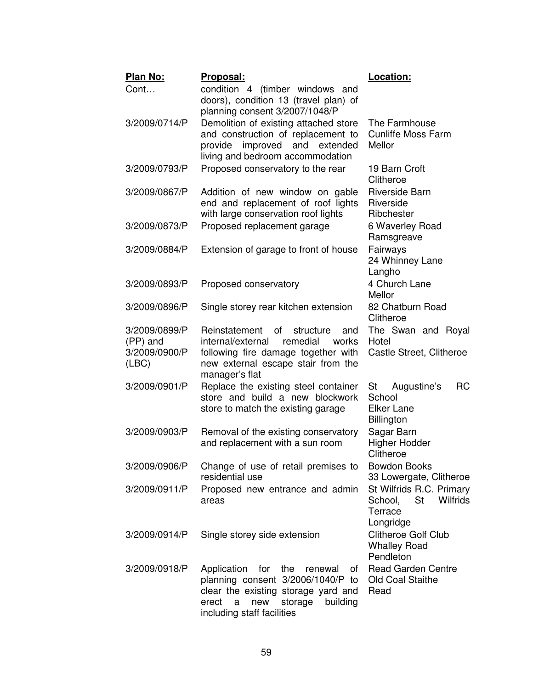| Plan No:                                            | Proposal:                                                                                                                                                                                        | Location:                                                                            |
|-----------------------------------------------------|--------------------------------------------------------------------------------------------------------------------------------------------------------------------------------------------------|--------------------------------------------------------------------------------------|
| Cont                                                | condition 4 (timber windows and<br>doors), condition 13 (travel plan) of<br>planning consent 3/2007/1048/P                                                                                       |                                                                                      |
| 3/2009/0714/P                                       | Demolition of existing attached store<br>and construction of replacement to<br>improved<br>provide<br>and<br>extended<br>living and bedroom accommodation                                        | The Farmhouse<br><b>Cunliffe Moss Farm</b><br>Mellor                                 |
| 3/2009/0793/P                                       | Proposed conservatory to the rear                                                                                                                                                                | 19 Barn Croft<br>Clitheroe                                                           |
| 3/2009/0867/P                                       | Addition of new window on gable<br>end and replacement of roof lights<br>with large conservation roof lights                                                                                     | <b>Riverside Barn</b><br>Riverside<br>Ribchester                                     |
| 3/2009/0873/P                                       | Proposed replacement garage                                                                                                                                                                      | 6 Waverley Road<br>Ramsgreave                                                        |
| 3/2009/0884/P                                       | Extension of garage to front of house                                                                                                                                                            | Fairways<br>24 Whinney Lane<br>Langho                                                |
| 3/2009/0893/P                                       | Proposed conservatory                                                                                                                                                                            | 4 Church Lane<br>Mellor                                                              |
| 3/2009/0896/P                                       | Single storey rear kitchen extension                                                                                                                                                             | 82 Chatburn Road<br>Clitheroe                                                        |
| 3/2009/0899/P<br>(PP) and<br>3/2009/0900/P<br>(ABC) | Reinstatement<br>of<br>structure<br>and<br>remedial<br>internal/external<br>works<br>following fire damage together with<br>new external escape stair from the<br>manager's flat                 | The Swan and Royal<br>Hotel<br>Castle Street, Clitheroe                              |
| 3/2009/0901/P                                       | Replace the existing steel container<br>store and build a new blockwork<br>store to match the existing garage                                                                                    | <b>RC</b><br>Augustine's<br>St<br>School<br><b>Elker Lane</b><br><b>Billington</b>   |
| 3/2009/0903/P                                       | Removal of the existing conservatory<br>and replacement with a sun room                                                                                                                          | Sagar Barn<br><b>Higher Hodder</b><br>Clitheroe                                      |
| 3/2009/0906/P                                       | Change of use of retail premises to<br>residential use                                                                                                                                           | <b>Bowdon Books</b><br>33 Lowergate, Clitheroe                                       |
| 3/2009/0911/P                                       | Proposed new entrance and admin<br>areas                                                                                                                                                         | St Wilfrids R.C. Primary<br>St<br><b>Wilfrids</b><br>School,<br>Terrace<br>Longridge |
| 3/2009/0914/P                                       | Single storey side extension                                                                                                                                                                     | <b>Clitheroe Golf Club</b><br><b>Whalley Road</b><br>Pendleton                       |
| 3/2009/0918/P                                       | Application<br>for<br>the<br>renewal<br>of<br>planning consent 3/2006/1040/P to<br>clear the existing storage yard and<br>storage<br>erect<br>a<br>new<br>building<br>including staff facilities | <b>Read Garden Centre</b><br>Old Coal Staithe<br>Read                                |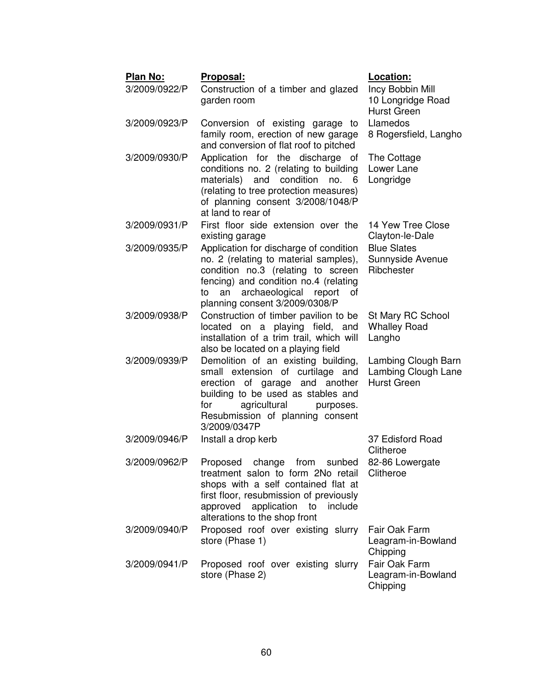| Plan No:<br>3/2009/0922/P | Proposal:<br>Construction of a timber and glazed<br>garden room                                                                                                                                                                               | Location:<br>Incy Bobbin Mill<br>10 Longridge Road<br><b>Hurst Green</b> |
|---------------------------|-----------------------------------------------------------------------------------------------------------------------------------------------------------------------------------------------------------------------------------------------|--------------------------------------------------------------------------|
| 3/2009/0923/P             | Conversion of existing garage to<br>family room, erection of new garage<br>and conversion of flat roof to pitched                                                                                                                             | Llamedos<br>8 Rogersfield, Langho                                        |
| 3/2009/0930/P             | Application for the discharge of<br>conditions no. 2 (relating to building<br>materials) and condition no. 6<br>(relating to tree protection measures)<br>of planning consent 3/2008/1048/P<br>at land to rear of                             | The Cottage<br>Lower Lane<br>Longridge                                   |
| 3/2009/0931/P             | First floor side extension over the<br>existing garage                                                                                                                                                                                        | 14 Yew Tree Close<br>Clayton-le-Dale                                     |
| 3/2009/0935/P             | Application for discharge of condition<br>no. 2 (relating to material samples),<br>condition no.3 (relating to screen<br>fencing) and condition no.4 (relating<br>archaeological<br>an<br>report of<br>to<br>planning consent 3/2009/0308/P   | <b>Blue Slates</b><br>Sunnyside Avenue<br>Ribchester                     |
| 3/2009/0938/P             | Construction of timber pavilion to be<br>located on a playing field, and<br>installation of a trim trail, which will<br>also be located on a playing field                                                                                    | St Mary RC School<br><b>Whalley Road</b><br>Langho                       |
| 3/2009/0939/P             | Demolition of an existing building,<br>small extension of curtilage and<br>erection of garage and another<br>building to be used as stables and<br>agricultural<br>for<br>purposes.<br>Resubmission of planning consent<br>3/2009/0347P       | Lambing Clough Barn<br>Lambing Clough Lane<br><b>Hurst Green</b>         |
| 3/2009/0946/P             | Install a drop kerb                                                                                                                                                                                                                           | 37 Edisford Road<br>Clitheroe                                            |
| 3/2009/0962/P             | Proposed change from sunbed 82-86 Lowergate<br>treatment salon to form 2No retail<br>shops with a self contained flat at<br>first floor, resubmission of previously<br>approved application<br>to<br>include<br>alterations to the shop front | Clitheroe                                                                |
| 3/2009/0940/P             | Proposed roof over existing slurry<br>store (Phase 1)                                                                                                                                                                                         | Fair Oak Farm<br>Leagram-in-Bowland<br>Chipping                          |
| 3/2009/0941/P             | Proposed roof over existing slurry<br>store (Phase 2)                                                                                                                                                                                         | Fair Oak Farm<br>Leagram-in-Bowland<br>Chipping                          |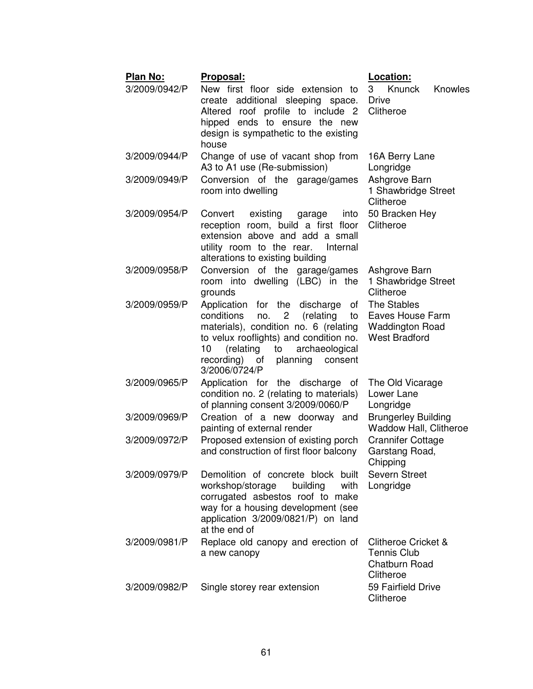| Plan No:      | <u> Proposal:</u>                                                                                                                                                                                                                                                                     | Location:                                                                          |
|---------------|---------------------------------------------------------------------------------------------------------------------------------------------------------------------------------------------------------------------------------------------------------------------------------------|------------------------------------------------------------------------------------|
| 3/2009/0942/P | New first floor side extension to<br>create additional sleeping space.<br>Altered roof profile to include 2<br>hipped ends to ensure the new<br>design is sympathetic to the existing<br>house                                                                                        | Knunck<br>3<br><b>Knowles</b><br><b>Drive</b><br>Clitheroe                         |
| 3/2009/0944/P | Change of use of vacant shop from<br>A3 to A1 use (Re-submission)                                                                                                                                                                                                                     | 16A Berry Lane<br>Longridge                                                        |
| 3/2009/0949/P | Conversion of the garage/games<br>room into dwelling                                                                                                                                                                                                                                  | Ashgrove Barn<br>1 Shawbridge Street<br>Clitheroe                                  |
| 3/2009/0954/P | Convert<br>existing<br>into<br>garage<br>reception room, build a first floor<br>extension above and add a small<br>utility room to the rear.<br>Internal<br>alterations to existing building                                                                                          | 50 Bracken Hey<br>Clitheroe                                                        |
| 3/2009/0958/P | Conversion of the garage/games<br>room into dwelling (LBC) in the<br>grounds                                                                                                                                                                                                          | Ashgrove Barn<br>1 Shawbridge Street<br>Clitheroe                                  |
| 3/2009/0959/P | Application for the discharge<br>of<br>conditions<br>no.<br>$\mathbf{2}$<br>(relating<br>to<br>materials), condition no. 6 (relating<br>to velux rooflights) and condition no.<br>10<br>(relating<br>to<br>archaeological<br>recording)<br>planning<br>of<br>consent<br>3/2006/0724/P | The Stables<br>Eaves House Farm<br><b>Waddington Road</b><br><b>West Bradford</b>  |
| 3/2009/0965/P | Application for the discharge of<br>condition no. 2 (relating to materials)<br>of planning consent 3/2009/0060/P                                                                                                                                                                      | The Old Vicarage<br>Lower Lane<br>Longridge                                        |
| 3/2009/0969/P | Creation of a new doorway and<br>painting of external render                                                                                                                                                                                                                          | <b>Brungerley Building</b><br><b>Waddow Hall, Clitheroe</b>                        |
| 3/2009/0972/P | Proposed extension of existing porch<br>and construction of first floor balcony                                                                                                                                                                                                       | <b>Crannifer Cottage</b><br>Garstang Road,<br>Chipping                             |
| 3/2009/0979/P | Demolition of concrete block built<br>workshop/storage<br>building<br>with<br>corrugated asbestos roof to make<br>way for a housing development (see<br>application 3/2009/0821/P) on land<br>at the end of                                                                           | Severn Street<br>Longridge                                                         |
| 3/2009/0981/P | Replace old canopy and erection of<br>a new canopy                                                                                                                                                                                                                                    | <b>Clitheroe Cricket &amp;</b><br><b>Tennis Club</b><br>Chatburn Road<br>Clitheroe |
| 3/2009/0982/P | Single storey rear extension                                                                                                                                                                                                                                                          | 59 Fairfield Drive<br>Clitheroe                                                    |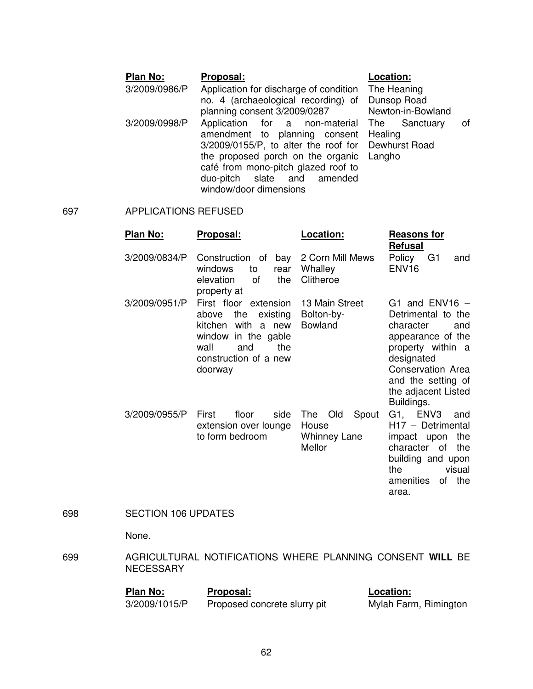## Plan No: Proposal: **Proposal:** Location:

 3/2009/0986/P Application for discharge of condition no. 4 (archaeological recording) of planning consent 3/2009/0287 3/2009/0998/P Application for a non-material amendment to planning consent 3/2009/0155/P, to alter the roof for the proposed porch on the organic café from mono-pitch glazed roof to duo-pitch slate and amended window/door dimensions

The Heaning Dunsop Road Newton-in-Bowland The Sanctuary of **Healing** Dewhurst Road Langho

## 697 APPLICATIONS REFUSED

| Plan No:      | Proposal:                                                                                                                                                   | Location:                                                     | <b>Reasons for</b><br><b>Refusal</b>                                                                                                                                                               |
|---------------|-------------------------------------------------------------------------------------------------------------------------------------------------------------|---------------------------------------------------------------|----------------------------------------------------------------------------------------------------------------------------------------------------------------------------------------------------|
| 3/2009/0834/P | Construction of<br>bay<br>windows<br>to<br>rear<br>the<br>elevation<br>οf<br>property at                                                                    | 2 Corn Mill Mews<br>Whalley<br>Clitheroe                      | Policy<br>G <sub>1</sub><br>and<br>ENV <sub>16</sub>                                                                                                                                               |
| 3/2009/0951/P | First floor extension<br>the<br>existing<br>above<br>with a new<br>kitchen<br>window in the gable<br>and<br>the<br>wall<br>construction of a new<br>doorway | 13 Main Street<br>Bolton-by-<br><b>Bowland</b>                | G1 and $ENV16$ -<br>Detrimental to the<br>character<br>and<br>appearance of the<br>property within a<br>designated<br>Conservation Area<br>and the setting of<br>the adjacent Listed<br>Buildings. |
| 3/2009/0955/P | First<br>floor<br>side<br>extension over lounge<br>to form bedroom                                                                                          | Spout<br>The<br>Old<br>House<br><b>Whinney Lane</b><br>Mellor | G1, ENV3<br>and<br>H17 - Detrimental<br>impact upon<br>the<br>character of<br>the<br>building and upon<br>visual<br>the<br>amenities<br>of the<br>area.                                            |

## 698 SECTION 106 UPDATES

None.

699 AGRICULTURAL NOTIFICATIONS WHERE PLANNING CONSENT **WILL** BE NECESSARY

| <b>Plan No:</b> | Proposal:                    | Location:             |
|-----------------|------------------------------|-----------------------|
| 3/2009/1015/P   | Proposed concrete slurry pit | Mylah Farm, Rimington |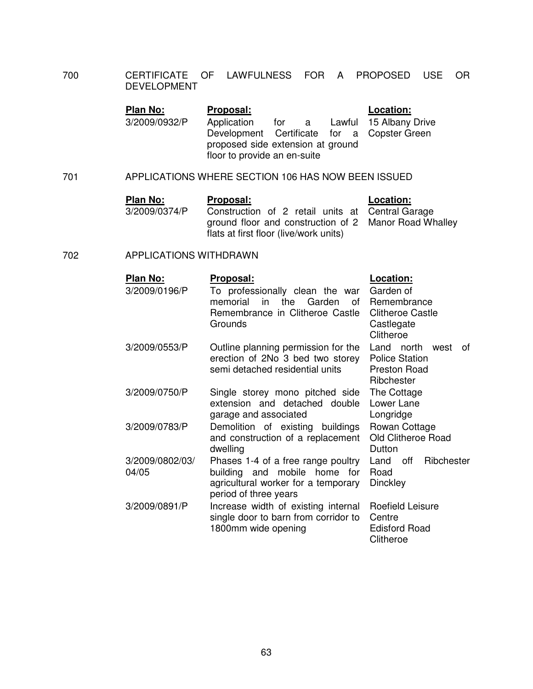700 CERTIFICATE OF LAWFULNESS FOR A PROPOSED USE OR DEVELOPMENT

| 3/2009/0932/P<br>for a Lawful 15 Albany Drive<br>Application<br>Development Certificate for a Copster Green | Location: |
|-------------------------------------------------------------------------------------------------------------|-----------|
| proposed side extension at ground<br>floor to provide an en-suite                                           |           |

701 APPLICATIONS WHERE SECTION 106 HAS NOW BEEN ISSUED

| Plan No:      | <b>Proposal:</b>                                                                                          | Location: |
|---------------|-----------------------------------------------------------------------------------------------------------|-----------|
| 3/2009/0374/P | Construction of 2 retail units at Central Garage<br>ground floor and construction of 2 Manor Road Whalley |           |
|               | flats at first floor (live/work units)                                                                    |           |

## 702 APPLICATIONS WITHDRAWN

| Plan No:<br>3/2009/0196/P | Proposal:<br>To professionally clean the war<br>memorial<br>in<br>Garden<br>the<br>of<br>Remembrance in Clitheroe Castle<br>Grounds | Location:<br>Garden of<br>Remembrance<br><b>Clitheroe Castle</b><br>Castlegate<br>Clitheroe |
|---------------------------|-------------------------------------------------------------------------------------------------------------------------------------|---------------------------------------------------------------------------------------------|
| 3/2009/0553/P             | Outline planning permission for the<br>erection of 2No 3 bed two storey<br>semi detached residential units                          | Land north<br>west<br>0f<br><b>Police Station</b><br><b>Preston Road</b><br>Ribchester      |
| 3/2009/0750/P             | Single storey mono pitched side<br>extension and detached double<br>garage and associated                                           | The Cottage<br>Lower Lane<br>Longridge                                                      |
| 3/2009/0783/P             | Demolition of existing buildings<br>and construction of a replacement<br>dwelling                                                   | Rowan Cottage<br>Old Clitheroe Road<br>Dutton                                               |
| 3/2009/0802/03/<br>04/05  | Phases 1-4 of a free range poultry<br>building and mobile home for<br>agricultural worker for a temporary<br>period of three years  | Ribchester<br>Land<br>off<br>Road<br>Dinckley                                               |
| 3/2009/0891/P             | Increase width of existing internal<br>single door to barn from corridor to<br>1800mm wide opening                                  | Roefield Leisure<br>Centre<br><b>Edisford Road</b><br>Clitheroe                             |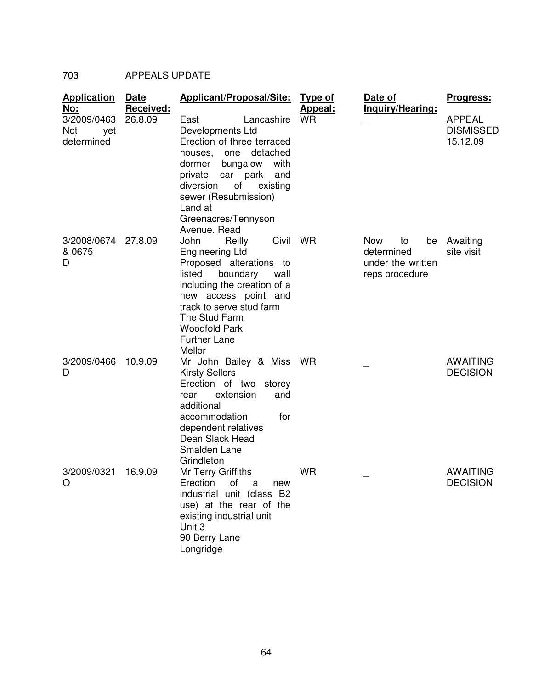# 703 APPEALS UPDATE

| <b>Application</b><br><u>No:</u>        | Date<br>Received: | Applicant/Proposal/Site:                                                                                                                                                                                                                                                | <b>Type of</b><br><u>Appeal:</u> | Date of<br>Inquiry/Hearing:                                                 | <u>Progress:</u>                              |
|-----------------------------------------|-------------------|-------------------------------------------------------------------------------------------------------------------------------------------------------------------------------------------------------------------------------------------------------------------------|----------------------------------|-----------------------------------------------------------------------------|-----------------------------------------------|
| 3/2009/0463<br>Not<br>yet<br>determined | 26.8.09           | Lancashire<br>East<br>Developments Ltd<br>Erection of three terraced<br>detached<br>houses,<br>one<br>with<br>dormer<br>bungalow<br>private car park<br>and<br>of<br>diversion<br>existing<br>sewer (Resubmission)<br>Land at<br>Greenacres/Tennyson<br>Avenue, Read    | <b>WR</b>                        |                                                                             | <b>APPEAL</b><br><b>DISMISSED</b><br>15.12.09 |
| 3/2008/0674<br>& 0675<br>D              | 27.8.09           | John<br>Civil<br>Reilly<br><b>Engineering Ltd</b><br>Proposed alterations to<br>listed<br>boundary<br>wall<br>including the creation of a<br>new access point and<br>track to serve stud farm<br>The Stud Farm<br><b>Woodfold Park</b><br><b>Further Lane</b><br>Mellor | <b>WR</b>                        | <b>Now</b><br>to<br>be<br>determined<br>under the written<br>reps procedure | Awaiting<br>site visit                        |
| 3/2009/0466<br>D                        | 10.9.09           | Mr John Bailey & Miss WR<br><b>Kirsty Sellers</b><br>Erection of two storey<br>extension<br>and<br>rear<br>additional<br>accommodation<br>for<br>dependent relatives<br>Dean Slack Head<br>Smalden Lane<br>Grindleton                                                   |                                  |                                                                             | <b>AWAITING</b><br><b>DECISION</b>            |
| 3/2009/0321<br>O                        | 16.9.09           | Mr Terry Griffiths<br>Erection<br>οf<br>a<br>new<br>industrial unit (class B2<br>use) at the rear of the<br>existing industrial unit<br>Unit 3<br>90 Berry Lane<br>Longridge                                                                                            | <b>WR</b>                        |                                                                             | <b>AWAITING</b><br><b>DECISION</b>            |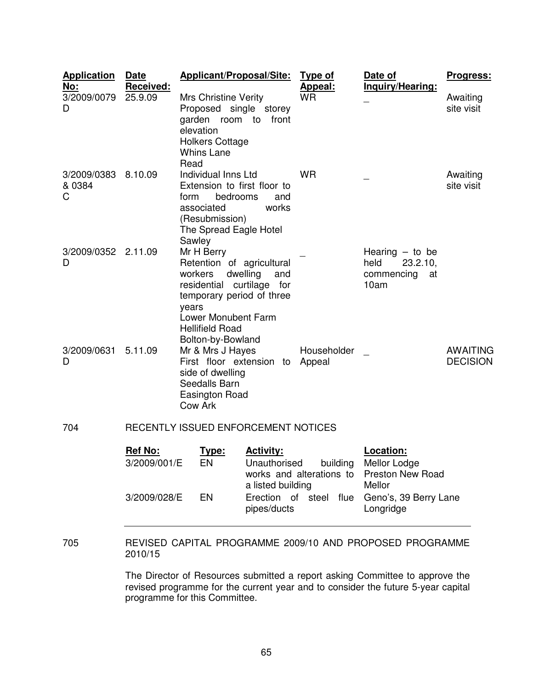| <b>Application</b><br>No:  | Date<br>Received:                   | Applicant/Proposal/Site:                                                                                                                                                                           |                 | <b>Type of</b><br><b>Appeal:</b>                                                                    | Date of<br>Inquiry/Hearing:                                                             | Progress:                          |
|----------------------------|-------------------------------------|----------------------------------------------------------------------------------------------------------------------------------------------------------------------------------------------------|-----------------|-----------------------------------------------------------------------------------------------------|-----------------------------------------------------------------------------------------|------------------------------------|
| 3/2009/0079<br>D           | 25.9.09                             | <b>Mrs Christine Verity</b><br>Proposed single storey<br>garden room to<br>elevation<br><b>Holkers Cottage</b><br><b>Whins Lane</b><br>Read                                                        | front           | <b>WR</b>                                                                                           |                                                                                         | Awaiting<br>site visit             |
| 3/2009/0383<br>& 0384<br>C | 8.10.09                             | Individual Inns Ltd<br>Extension to first floor to<br>bedrooms<br>form<br>associated<br>(Resubmission)<br>The Spread Eagle Hotel<br>Sawley                                                         | and<br>works    | <b>WR</b>                                                                                           |                                                                                         | Awaiting<br>site visit             |
| 3/2009/0352<br>D           | 2.11.09                             | Mr H Berry<br>Retention of agricultural<br>workers<br>residential curtilage for<br>temporary period of three<br>years<br><b>Lower Monubent Farm</b><br><b>Hellifield Road</b><br>Bolton-by-Bowland | dwelling<br>and |                                                                                                     | Hearing $-$ to be<br>held<br>23.2.10,<br>commencing<br>at<br>10am                       |                                    |
| 3/2009/0631<br>D           | 5.11.09                             | Mr & Mrs J Hayes<br>Householder<br>First floor extension to<br>Appeal<br>side of dwelling<br>Seedalls Barn<br>Easington Road<br>Cow Ark                                                            |                 |                                                                                                     |                                                                                         | <b>AWAITING</b><br><b>DECISION</b> |
| 704                        | RECENTLY ISSUED ENFORCEMENT NOTICES |                                                                                                                                                                                                    |                 |                                                                                                     |                                                                                         |                                    |
|                            | <b>Ref No:</b>                      | <u>Type:</u><br>EN<br>3/2009/001/E<br>EN<br>3/2009/028/E                                                                                                                                           |                 | Unauthorised<br>building<br>works and alterations to<br>a listed building<br>Erection of steel flue | Location:<br>Mellor Lodge<br><b>Preston New Road</b><br>Mellor<br>Geno's, 39 Berry Lane |                                    |
|                            |                                     |                                                                                                                                                                                                    | pipes/ducts     |                                                                                                     | Longridge                                                                               |                                    |

705 REVISED CAPITAL PROGRAMME 2009/10 AND PROPOSED PROGRAMME 2010/15

> The Director of Resources submitted a report asking Committee to approve the revised programme for the current year and to consider the future 5-year capital programme for this Committee.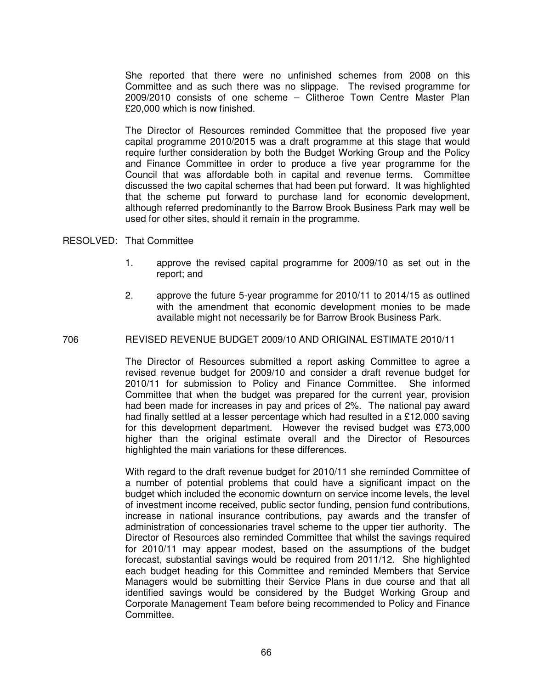She reported that there were no unfinished schemes from 2008 on this Committee and as such there was no slippage. The revised programme for 2009/2010 consists of one scheme – Clitheroe Town Centre Master Plan £20,000 which is now finished.

The Director of Resources reminded Committee that the proposed five year capital programme 2010/2015 was a draft programme at this stage that would require further consideration by both the Budget Working Group and the Policy and Finance Committee in order to produce a five year programme for the Council that was affordable both in capital and revenue terms. Committee discussed the two capital schemes that had been put forward. It was highlighted that the scheme put forward to purchase land for economic development, although referred predominantly to the Barrow Brook Business Park may well be used for other sites, should it remain in the programme.

## RESOLVED: That Committee

- 1. approve the revised capital programme for 2009/10 as set out in the report; and
- 2. approve the future 5-year programme for 2010/11 to 2014/15 as outlined with the amendment that economic development monies to be made available might not necessarily be for Barrow Brook Business Park.

#### 706 REVISED REVENUE BUDGET 2009/10 AND ORIGINAL ESTIMATE 2010/11

The Director of Resources submitted a report asking Committee to agree a revised revenue budget for 2009/10 and consider a draft revenue budget for 2010/11 for submission to Policy and Finance Committee. She informed Committee that when the budget was prepared for the current year, provision had been made for increases in pay and prices of 2%. The national pay award had finally settled at a lesser percentage which had resulted in a £12,000 saving for this development department. However the revised budget was £73,000 higher than the original estimate overall and the Director of Resources highlighted the main variations for these differences.

With regard to the draft revenue budget for 2010/11 she reminded Committee of a number of potential problems that could have a significant impact on the budget which included the economic downturn on service income levels, the level of investment income received, public sector funding, pension fund contributions, increase in national insurance contributions, pay awards and the transfer of administration of concessionaries travel scheme to the upper tier authority. The Director of Resources also reminded Committee that whilst the savings required for 2010/11 may appear modest, based on the assumptions of the budget forecast, substantial savings would be required from 2011/12. She highlighted each budget heading for this Committee and reminded Members that Service Managers would be submitting their Service Plans in due course and that all identified savings would be considered by the Budget Working Group and Corporate Management Team before being recommended to Policy and Finance Committee.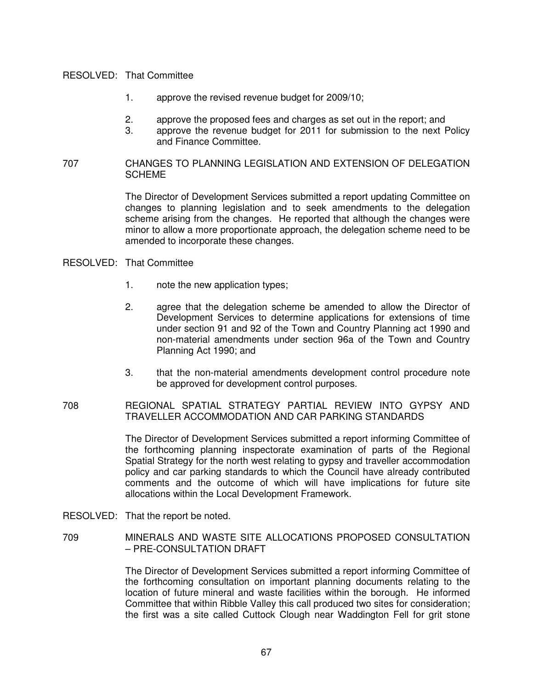### RESOLVED: That Committee

- 1. approve the revised revenue budget for 2009/10;
- 2. approve the proposed fees and charges as set out in the report; and
- 3. approve the revenue budget for 2011 for submission to the next Policy and Finance Committee.

## 707 CHANGES TO PLANNING LEGISLATION AND EXTENSION OF DELEGATION **SCHEME**

The Director of Development Services submitted a report updating Committee on changes to planning legislation and to seek amendments to the delegation scheme arising from the changes. He reported that although the changes were minor to allow a more proportionate approach, the delegation scheme need to be amended to incorporate these changes.

### RESOLVED: That Committee

- 1. note the new application types;
- 2. agree that the delegation scheme be amended to allow the Director of Development Services to determine applications for extensions of time under section 91 and 92 of the Town and Country Planning act 1990 and non-material amendments under section 96a of the Town and Country Planning Act 1990; and
- 3. that the non-material amendments development control procedure note be approved for development control purposes.

## 708 REGIONAL SPATIAL STRATEGY PARTIAL REVIEW INTO GYPSY AND TRAVELLER ACCOMMODATION AND CAR PARKING STANDARDS

The Director of Development Services submitted a report informing Committee of the forthcoming planning inspectorate examination of parts of the Regional Spatial Strategy for the north west relating to gypsy and traveller accommodation policy and car parking standards to which the Council have already contributed comments and the outcome of which will have implications for future site allocations within the Local Development Framework.

- RESOLVED: That the report be noted.
- 709 MINERALS AND WASTE SITE ALLOCATIONS PROPOSED CONSULTATION – PRE-CONSULTATION DRAFT

The Director of Development Services submitted a report informing Committee of the forthcoming consultation on important planning documents relating to the location of future mineral and waste facilities within the borough. He informed Committee that within Ribble Valley this call produced two sites for consideration; the first was a site called Cuttock Clough near Waddington Fell for grit stone